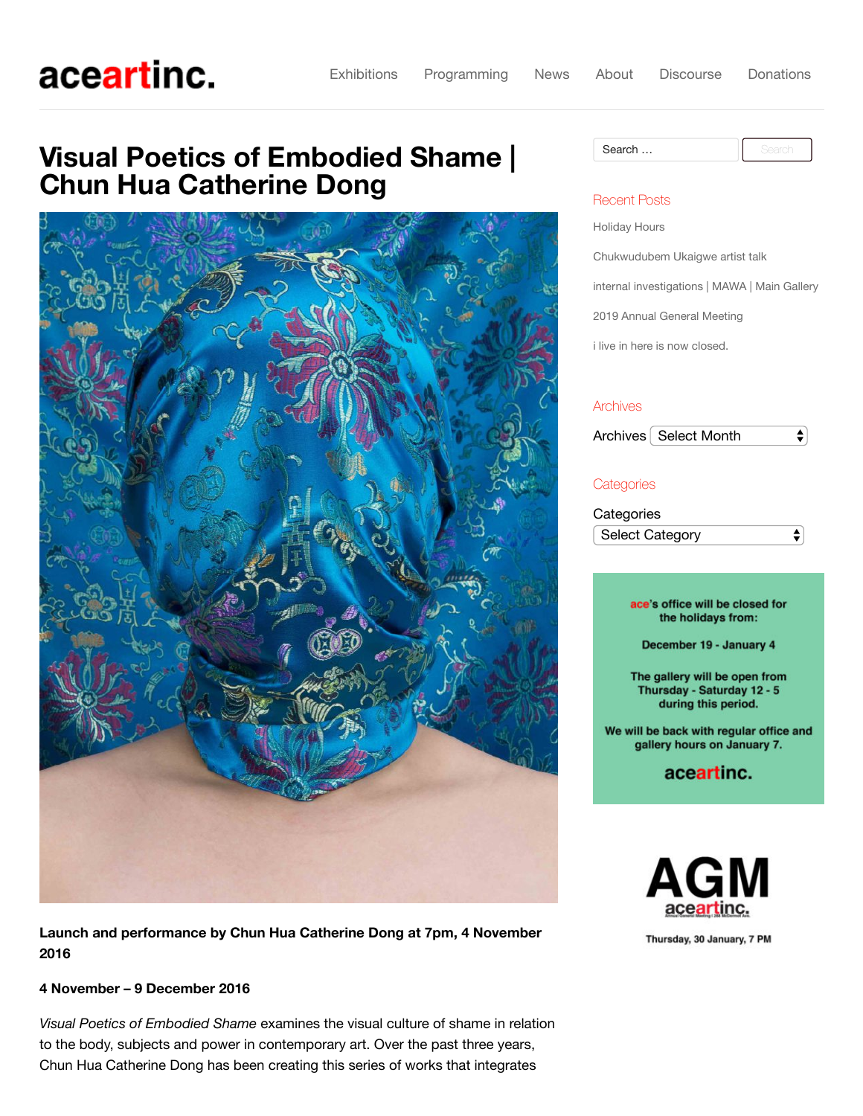# aceartinc.

[Exhibitions](https://www.aceart.org/category/exhibitions) [Programming](https://www.aceart.org/category/projects) [News](https://www.aceart.org/category/news) [About](https://www.aceart.org/contact-access) [Discourse](https://www.aceart.org/category/critical-distance-essays) [Donations](https://www.aceart.org/donationsdonations)

## **Visual Poetics of Embodied Shame | Chun Hua Catherine Dong**



**Launch and performance by Chun Hua Catherine Dong at 7pm, 4 November 2016**

#### **4 November – 9 December 2016**

*Visual Poetics of Embodied Shame* examines the visual culture of shame in relation to the body, subjects and power in contemporary art. Over the past three years, Chun Hua Catherine Dong has been creating this series of works that integrates

| Search<br>$\sim$ |  |  |
|------------------|--|--|

#### Recent Posts

[Holiday Hours](https://www.aceart.org/holiday-hours)

[Chukwudubem](https://www.aceart.org/chukwudubem-ukaigwe-artist-talk) Ukaigwe artist talk

internal [investigations |](https://www.aceart.org/internal-investigations-mawa-main-gallery) MAWA | Main Gallery

2019 Annual General [Meeting](https://www.aceart.org/7761-2)

i live in here is now [closed.](https://www.aceart.org/i-live-in-here%ef%bb%bf-is-now-closed)

#### **Archives**

 $\bigstar$ Archives | Select Month

#### **Categories**

**Categories**  $\overline{\bullet}$ Select Category

> ace's office will be closed for the holidays from:

December 19 - January 4

The gallery will be open from Thursday - Saturday 12 - 5 during this period.

We will be back with regular office and gallery hours on January 7.

### aceartinc.



Thursday, 30 January, 7 PM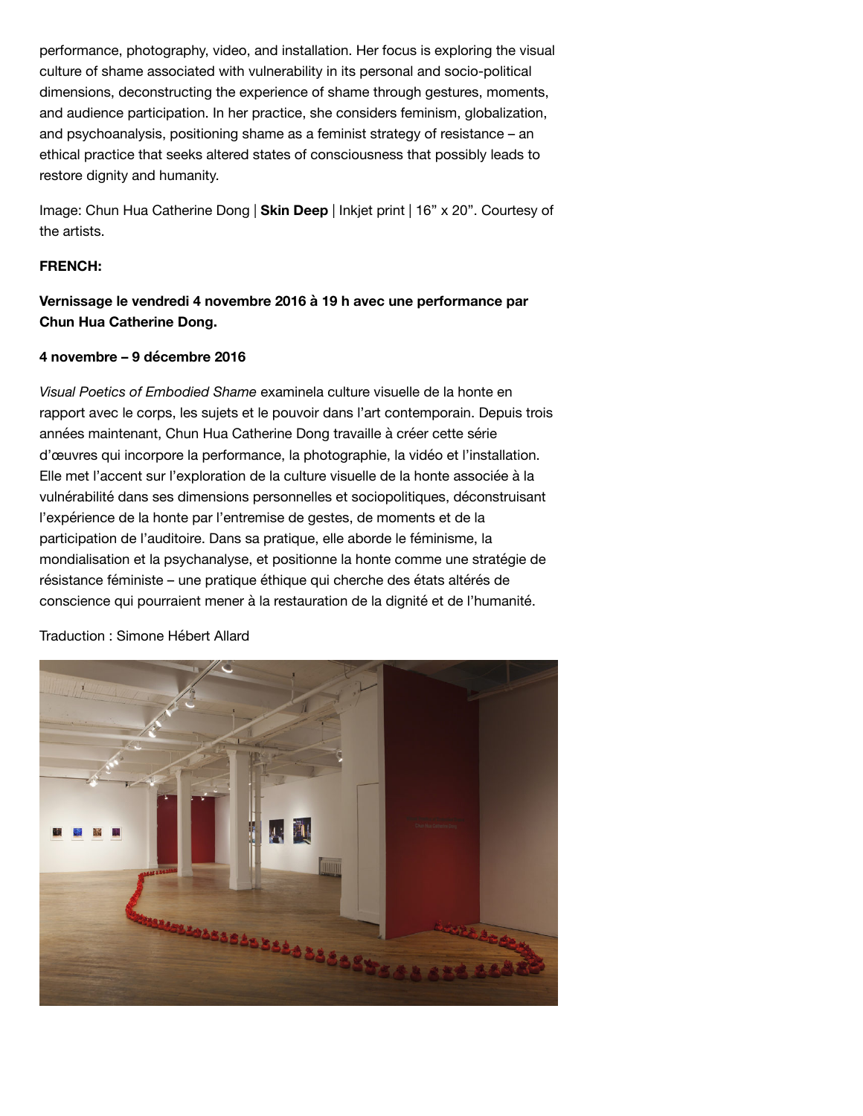performance, photography, video, and installation. Her focus is exploring the visual culture of shame associated with vulnerability in its personal and socio-political dimensions, deconstructing the experience of shame through gestures, moments, and audience participation. In her practice, she considers feminism, globalization, and psychoanalysis, positioning shame as a feminist strategy of resistance – an ethical practice that seeks altered states of consciousness that possibly leads to restore dignity and humanity.

Image: Chun Hua Catherine Dong | **Skin Deep** | Inkjet print | 16" x 20". Courtesy of the artists.

#### **FRENCH:**

**Vernissage le vendredi 4 novembre 2016 à 19 h avec une performance par Chun Hua Catherine Dong.**

#### **4 novembre – 9 décembre 2016**

*Visual Poetics of Embodied Shame* examinela culture visuelle de la honte en rapport avec le corps, les sujets et le pouvoir dans l'art contemporain. Depuis trois années maintenant, Chun Hua Catherine Dong travaille à créer cette série d'œuvres qui incorpore la performance, la photographie, la vidéo et l'installation. Elle met l'accent sur l'exploration de la culture visuelle de la honte associée à la vulnérabilité dans ses dimensions personnelles et sociopolitiques, déconstruisant l'expérience de la honte par l'entremise de gestes, de moments et de la participation de l'auditoire. Dans sa pratique, elle aborde le féminisme, la mondialisation et la psychanalyse, et positionne la honte comme une stratégie de résistance féministe – une pratique éthique qui cherche des états altérés de conscience qui pourraient mener à la restauration de la dignité et de l'humanité.

Traduction : Simone Hébert Allard

![](_page_1_Picture_7.jpeg)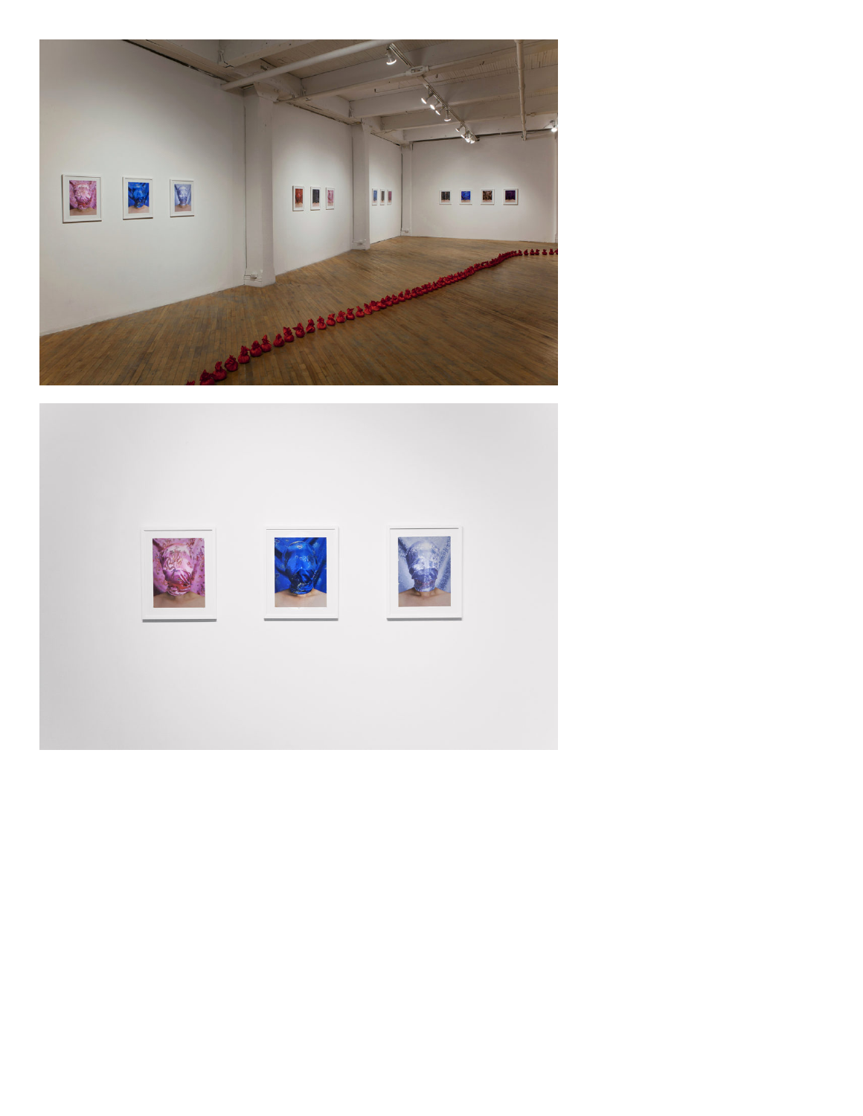![](_page_2_Picture_0.jpeg)

![](_page_2_Picture_1.jpeg)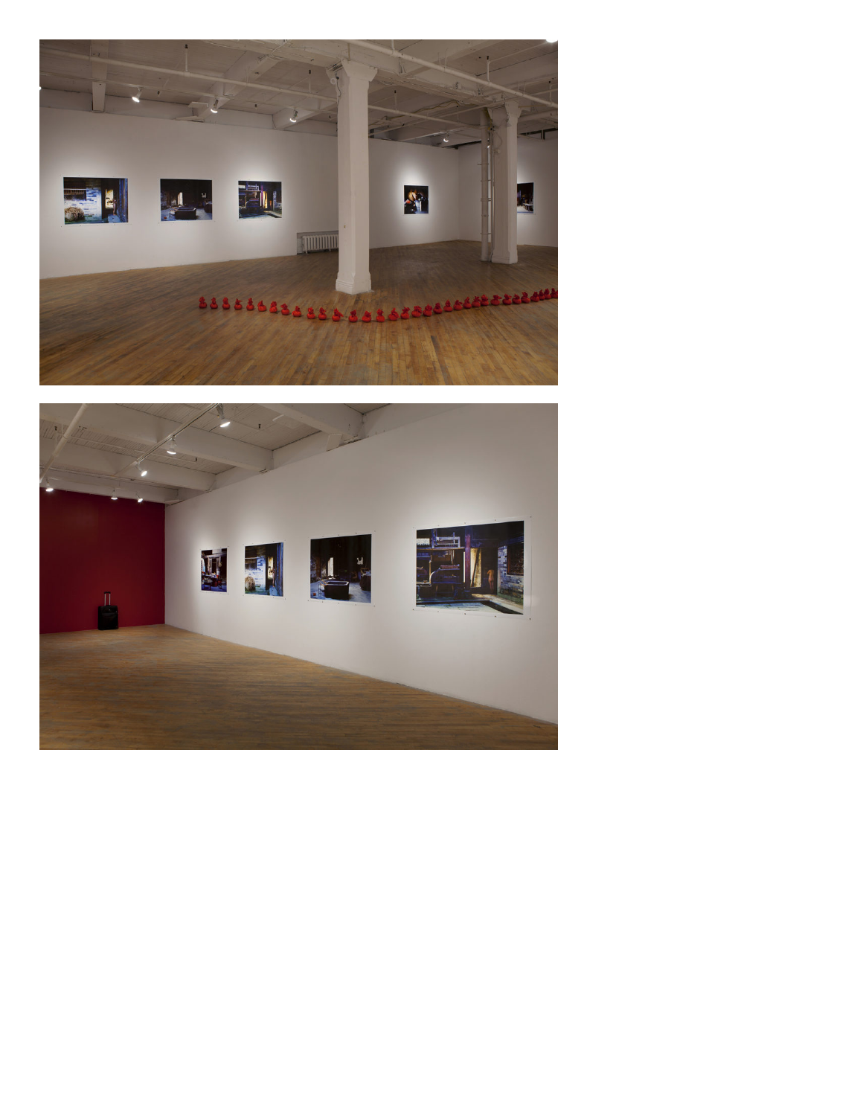![](_page_3_Picture_0.jpeg)

![](_page_3_Picture_1.jpeg)